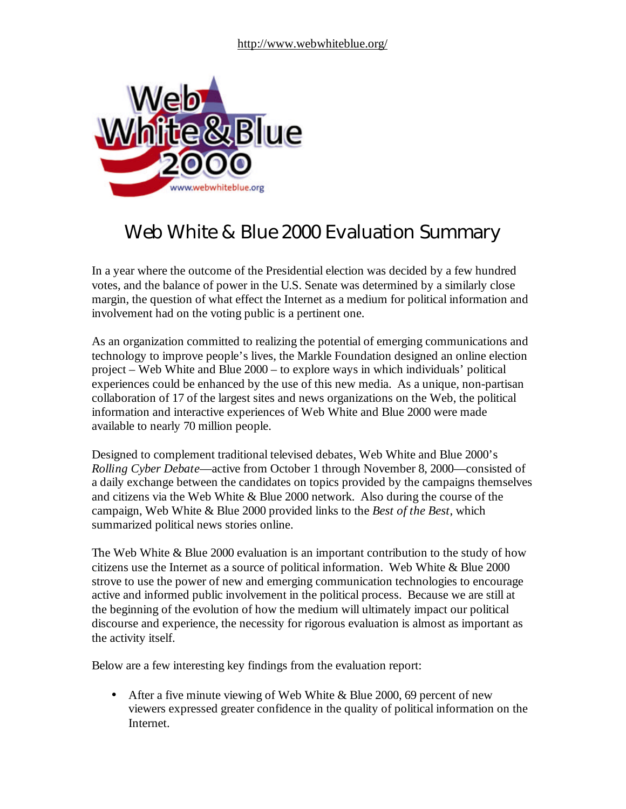

# Web White & Blue 2000 Evaluation Summary

In a year where the outcome of the Presidential election was decided by a few hundred votes, and the balance of power in the U.S. Senate was determined by a similarly close margin, the question of what effect the Internet as a medium for political information and involvement had on the voting public is a pertinent one.

As an organization committed to realizing the potential of emerging communications and technology to improve people's lives, the Markle Foundation designed an online election project – Web White and Blue 2000 – to explore ways in which individuals' political experiences could be enhanced by the use of this new media. As a unique, non-partisan collaboration of 17 of the largest sites and news organizations on the Web, the political information and interactive experiences of Web White and Blue 2000 were made available to nearly 70 million people.

Designed to complement traditional televised debates, Web White and Blue 2000's *Rolling Cyber Debate*— active from October 1 through November 8, 2000— consisted of a daily exchange between the candidates on topics provided by the campaigns themselves and citizens via the Web White & Blue 2000 network. Also during the course of the campaign, Web White & Blue 2000 provided links to the *Best of the Best*, which summarized political news stories online.

The Web White & Blue 2000 evaluation is an important contribution to the study of how citizens use the Internet as a source of political information. Web White & Blue 2000 strove to use the power of new and emerging communication technologies to encourage active and informed public involvement in the political process. Because we are still at the beginning of the evolution of how the medium will ultimately impact our political discourse and experience, the necessity for rigorous evaluation is almost as important as the activity itself.

Below are a few interesting key findings from the evaluation report:

• After a five minute viewing of Web White & Blue 2000, 69 percent of new viewers expressed greater confidence in the quality of political information on the Internet.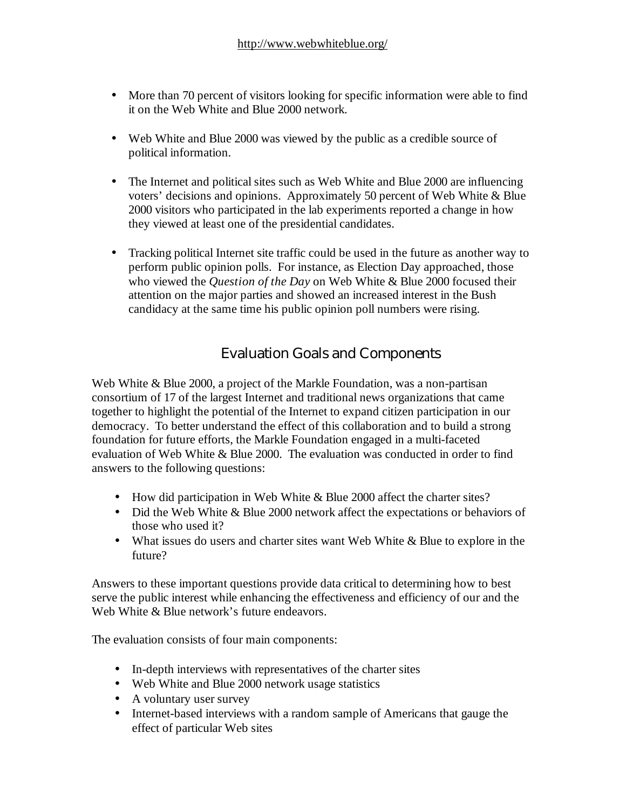- More than 70 percent of visitors looking for specific information were able to find it on the Web White and Blue 2000 network.
- Web White and Blue 2000 was viewed by the public as a credible source of political information.
- The Internet and political sites such as Web White and Blue 2000 are influencing voters' decisions and opinions. Approximately 50 percent of Web White & Blue 2000 visitors who participated in the lab experiments reported a change in how they viewed at least one of the presidential candidates.
- Tracking political Internet site traffic could be used in the future as another way to perform public opinion polls. For instance, as Election Day approached, those who viewed the *Question of the Day* on Web White & Blue 2000 focused their attention on the major parties and showed an increased interest in the Bush candidacy at the same time his public opinion poll numbers were rising.

# Evaluation Goals and Components

Web White & Blue 2000, a project of the Markle Foundation, was a non-partisan consortium of 17 of the largest Internet and traditional news organizations that came together to highlight the potential of the Internet to expand citizen participation in our democracy. To better understand the effect of this collaboration and to build a strong foundation for future efforts, the Markle Foundation engaged in a multi-faceted evaluation of Web White & Blue 2000. The evaluation was conducted in order to find answers to the following questions:

- How did participation in Web White & Blue 2000 affect the charter sites?
- Did the Web White & Blue 2000 network affect the expectations or behaviors of those who used it?
- What issues do users and charter sites want Web White & Blue to explore in the future?

Answers to these important questions provide data critical to determining how to best serve the public interest while enhancing the effectiveness and efficiency of our and the Web White & Blue network's future endeavors.

The evaluation consists of four main components:

- In-depth interviews with representatives of the charter sites
- Web White and Blue 2000 network usage statistics
- A voluntary user survey
- Internet-based interviews with a random sample of Americans that gauge the effect of particular Web sites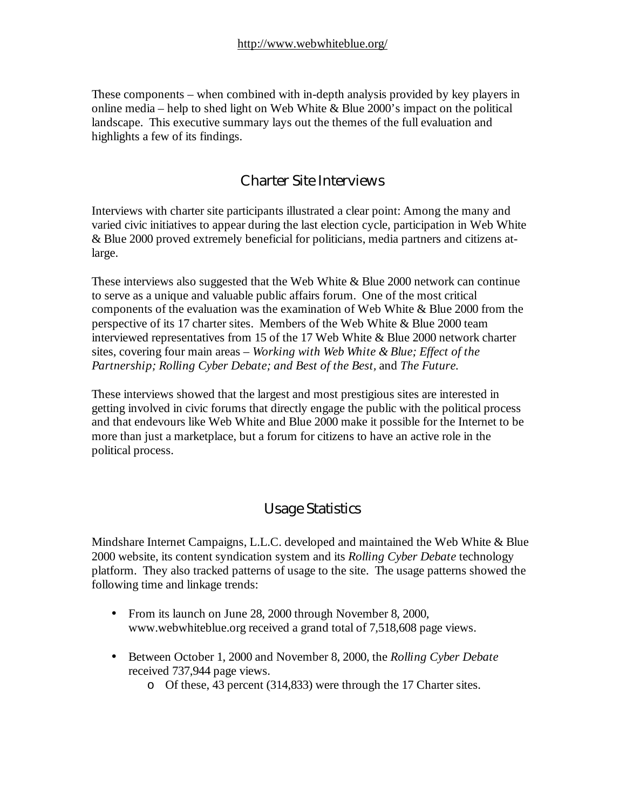These components – when combined with in-depth analysis provided by key players in online media – help to shed light on Web White  $\&$  Blue 2000's impact on the political landscape. This executive summary lays out the themes of the full evaluation and highlights a few of its findings.

#### Charter Site Interviews

Interviews with charter site participants illustrated a clear point: Among the many and varied civic initiatives to appear during the last election cycle, participation in Web White & Blue 2000 proved extremely beneficial for politicians, media partners and citizens atlarge.

These interviews also suggested that the Web White & Blue 2000 network can continue to serve as a unique and valuable public affairs forum. One of the most critical components of the evaluation was the examination of Web White & Blue 2000 from the perspective of its 17 charter sites. Members of the Web White & Blue 2000 team interviewed representatives from 15 of the 17 Web White & Blue 2000 network charter sites, covering four main areas – *Working with Web White & Blue; Effect of the Partnership; Rolling Cyber Debate; and Best of the Best,* and *The Future.*

These interviews showed that the largest and most prestigious sites are interested in getting involved in civic forums that directly engage the public with the political process and that endevours like Web White and Blue 2000 make it possible for the Internet to be more than just a marketplace, but a forum for citizens to have an active role in the political process.

### Usage Statistics

Mindshare Internet Campaigns, L.L.C. developed and maintained the Web White & Blue 2000 website, its content syndication system and its *Rolling Cyber Debate* technology platform. They also tracked patterns of usage to the site. The usage patterns showed the following time and linkage trends:

- From its launch on June 28, 2000 through November 8, 2000, [www.webwhiteblue.org r](http://www.webwhiteblue.org)eceived a grand total of 7,518,608 page views.
- Between October 1, 2000 and November 8, 2000, the *Rolling Cyber Debate* received 737,944 page views.
	- o Of these, 43 percent (314,833) were through the 17 Charter sites.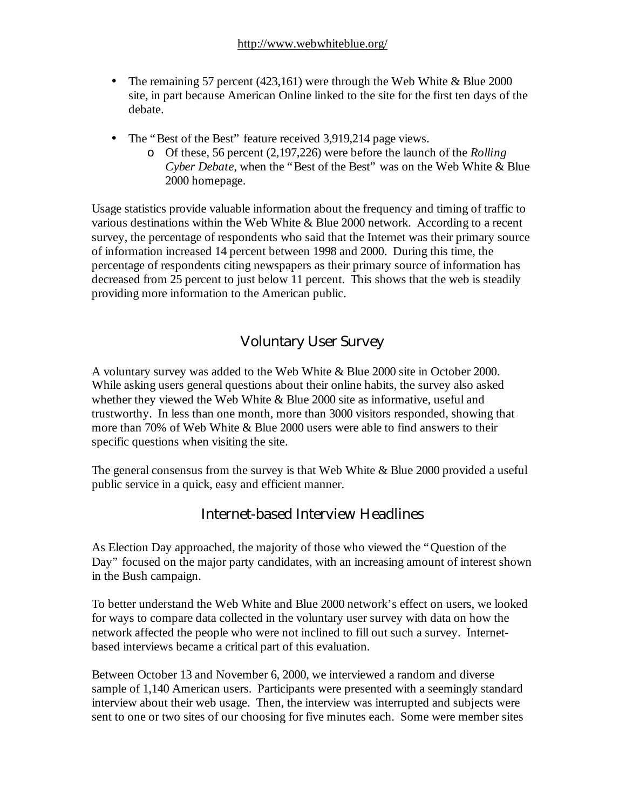- The remaining 57 percent (423,161) were through the Web White  $\&$  Blue 2000 site, in part because American Online linked to the site for the first ten days of the debate.
- The "Best of the Best" feature received 3,919,214 page views.
	- o Of these, 56 percent (2,197,226) were before the launch of the *Rolling Cyber Debate*, when the "Best of the Best" was on the Web White & Blue 2000 homepage.

Usage statistics provide valuable information about the frequency and timing of traffic to various destinations within the Web White & Blue 2000 network. According to a recent survey, the percentage of respondents who said that the Internet was their primary source of information increased 14 percent between 1998 and 2000. During this time, the percentage of respondents citing newspapers as their primary source of information has decreased from 25 percent to just below 11 percent. This shows that the web is steadily providing more information to the American public.

# Voluntary User Survey

A voluntary survey was added to the Web White & Blue 2000 site in October 2000. While asking users general questions about their online habits, the survey also asked whether they viewed the Web White & Blue 2000 site as informative, useful and trustworthy. In less than one month, more than 3000 visitors responded, showing that more than 70% of Web White & Blue 2000 users were able to find answers to their specific questions when visiting the site.

The general consensus from the survey is that Web White & Blue 2000 provided a useful public service in a quick, easy and efficient manner.

# Internet-based Interview Headlines

As Election Day approached, the majority of those who viewed the "Question of the Day" focused on the major party candidates, with an increasing amount of interest shown in the Bush campaign.

To better understand the Web White and Blue 2000 network's effect on users, we looked for ways to compare data collected in the voluntary user survey with data on how the network affected the people who were not inclined to fill out such a survey. Internetbased interviews became a critical part of this evaluation.

Between October 13 and November 6, 2000, we interviewed a random and diverse sample of 1,140 American users. Participants were presented with a seemingly standard interview about their web usage. Then, the interview was interrupted and subjects were sent to one or two sites of our choosing for five minutes each. Some were member sites